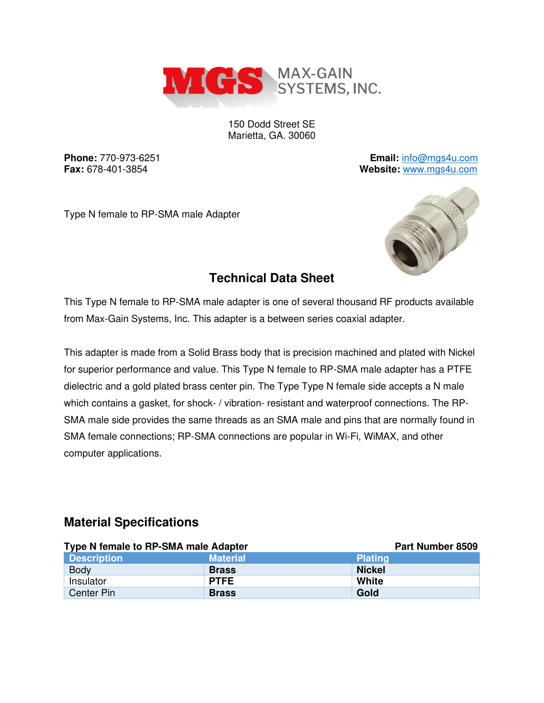

150 Dodd Street SE Marietta, GA. 30060

**Phone:** 770-973-6251 **Email:** [info@mgs4u.com](mailto:info@mgs4u.com) **Fax:** 678-401-3854 **Website:** [www.mgs4u.com](http://www.mgs4u.com/)

Type N female to RP-SMA male Adapter



## **Technical Data Sheet**

This Type N female to RP-SMA male adapter is one of several thousand RF products available from Max-Gain Systems, Inc. This adapter is a between series coaxial adapter.

This adapter is made from a Solid Brass body that is precision machined and plated with Nickel for superior performance and value. This Type N female to RP-SMA male adapter has a PTFE dielectric and a gold plated brass center pin. The Type Type N female side accepts a N male which contains a gasket, for shock- / vibration- resistant and waterproof connections. The RP-SMA male side provides the same threads as an SMA male and pins that are normally found in SMA female connections; RP-SMA connections are popular in Wi-Fi, WiMAX, and other computer applications.

#### **Material Specifications**

| Type N female to RP-SMA male Adapter |                 | Part Number 8509 |
|--------------------------------------|-----------------|------------------|
| <b>Description</b>                   | <b>Material</b> | <b>Plating</b>   |
| <b>Body</b>                          | <b>Brass</b>    | <b>Nickel</b>    |
| Insulator                            | <b>PTFE</b>     | White            |
| Center Pin                           | <b>Brass</b>    | Gold             |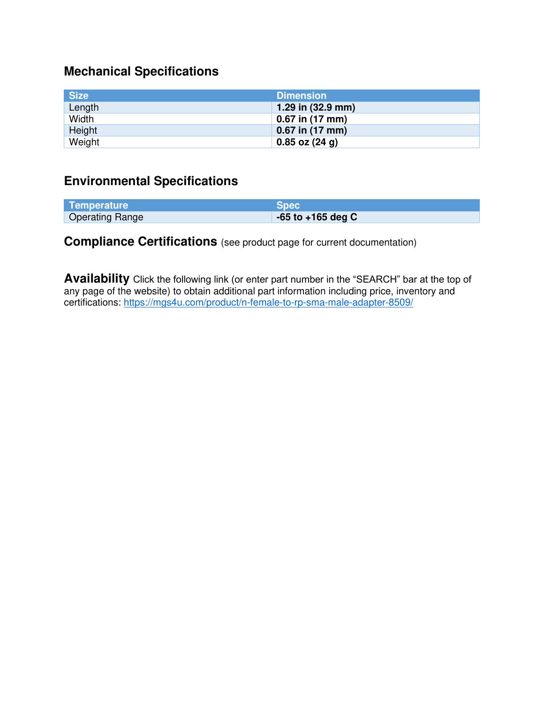# **Mechanical Specifications**

| <b>Size</b> | <b>Dimension</b>            |
|-------------|-----------------------------|
| Length      | 1.29 in $(32.9 \text{ mm})$ |
| Width       | $0.67$ in (17 mm)           |
| Height      | $0.67$ in (17 mm)           |
| Weight      | $0.85$ oz $(24 g)$          |

### **Environmental Specifications**

| Temperature            | Spec                  |
|------------------------|-----------------------|
| <b>Operating Range</b> | $-65$ to $+165$ deg C |

## **Compliance Certifications** (see product page for current documentation)

**Availability** Click the following link (or enter part number in the "SEARCH" bar at the top of any page of the website) to obtain additional part information including price, inventory and certifications:<https://mgs4u.com/product/n-female-to-rp-sma-male-adapter-8509/>